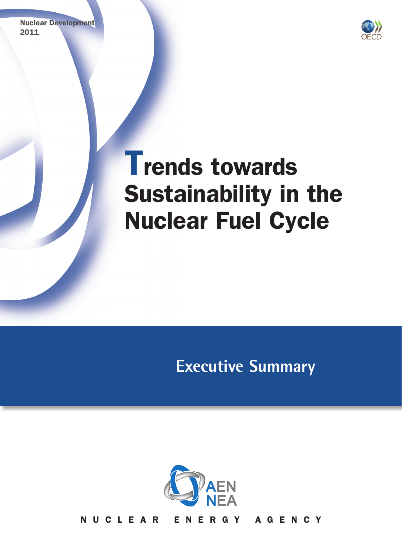Nuclear Development 2011



# Trends towards Sustainability in the Nuclear Fuel Cycle

**Executive Summary**



NUCLEAR ENERGY AGENCY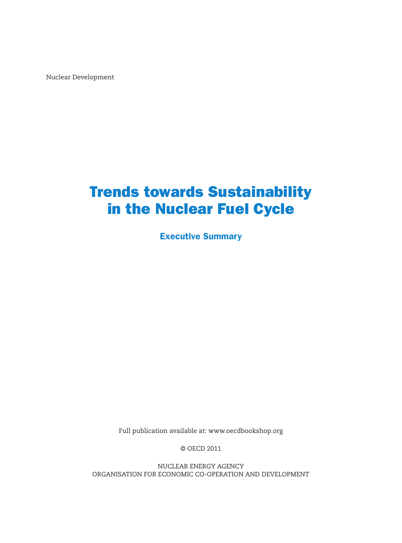Nuclear Development

## Trends towards Sustainability in the Nuclear Fuel Cycle

Executive Summary

Full publication available at: www.oecdbookshop.org

© OECD 2011

NUCLEAR ENERGY AGENCY ORGANISATION FOR ECONOMIC CO-OPERATION AND DEVELOPMENT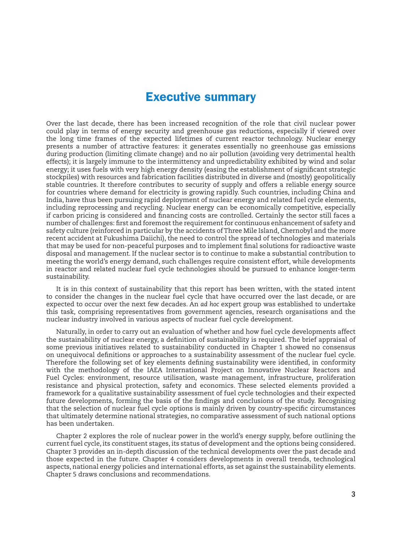### Executive summary

Over the last decade, there has been increased recognition of the role that civil nuclear power could play in terms of energy security and greenhouse gas reductions, especially if viewed over the long time frames of the expected lifetimes of current reactor technology. Nuclear energy presents a number of attractive features: it generates essentially no greenhouse gas emissions during production (limiting climate change) and no air pollution (avoiding very detrimental health effects); it is largely immune to the intermittency and unpredictability exhibited by wind and solar energy; it uses fuels with very high energy density (easing the establishment of significant strategic stockpiles) with resources and fabrication facilities distributed in diverse and (mostly) geopolitically stable countries. It therefore contributes to security of supply and offers a reliable energy source for countries where demand for electricity is growing rapidly. Such countries, including China and India, have thus been pursuing rapid deployment of nuclear energy and related fuel cycle elements, including reprocessing and recycling. Nuclear energy can be economically competitive, especially if carbon pricing is considered and financing costs are controlled. Certainly the sector still faces a number of challenges: first and foremost the requirement for continuous enhancement of safety and safety culture (reinforced in particular by the accidents of Three Mile Island, Chernobyl and the more recent accident at Fukushima Daiichi), the need to control the spread of technologies and materials that may be used for non-peaceful purposes and to implement final solutions for radioactive waste disposal and management. If the nuclear sector is to continue to make a substantial contribution to meeting the world's energy demand, such challenges require consistent effort, while developments in reactor and related nuclear fuel cycle technologies should be pursued to enhance longer-term sustainability.

It is in this context of sustainability that this report has been written, with the stated intent to consider the changes in the nuclear fuel cycle that have occurred over the last decade, or are expected to occur over the next few decades. An *ad hoc* expert group was established to undertake this task, comprising representatives from government agencies, research organisations and the nuclear industry involved in various aspects of nuclear fuel cycle development.

Naturally, in order to carry out an evaluation of whether and how fuel cycle developments affect the sustainability of nuclear energy, a definition of sustainability is required. The brief appraisal of some previous initiatives related to sustainability conducted in Chapter 1 showed no consensus on unequivocal definitions or approaches to a sustainability assessment of the nuclear fuel cycle. Therefore the following set of key elements defining sustainability were identified, in conformity with the methodology of the IAEA International Project on Innovative Nuclear Reactors and Fuel Cycles: environment, resource utilisation, waste management, infrastructure, proliferation resistance and physical protection, safety and economics. These selected elements provided a framework for a qualitative sustainability assessment of fuel cycle technologies and their expected future developments, forming the basis of the findings and conclusions of the study. Recognising that the selection of nuclear fuel cycle options is mainly driven by country-specific circumstances that ultimately determine national strategies, no comparative assessment of such national options has been undertaken.

Chapter 2 explores the role of nuclear power in the world's energy supply, before outlining the current fuel cycle, its constituent stages, its status of development and the options being considered. Chapter 3 provides an in-depth discussion of the technical developments over the past decade and those expected in the future. Chapter 4 considers developments in overall trends, technological aspects, national energy policies and international efforts, as set against the sustainability elements. Chapter 5 draws conclusions and recommendations.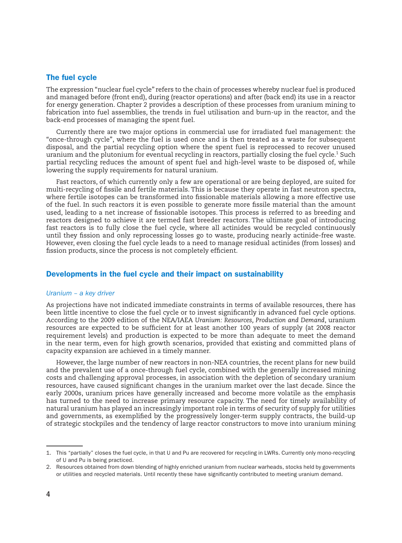#### The fuel cycle

The expression "nuclear fuel cycle" refers to the chain of processes whereby nuclear fuel is produced and managed before (front end), during (reactor operations) and after (back end) its use in a reactor for energy generation. Chapter 2 provides a description of these processes from uranium mining to fabrication into fuel assemblies, the trends in fuel utilisation and burn-up in the reactor, and the back-end processes of managing the spent fuel.

Currently there are two major options in commercial use for irradiated fuel management: the "once-through cycle", where the fuel is used once and is then treated as a waste for subsequent disposal, and the partial recycling option where the spent fuel is reprocessed to recover unused uranium and the plutonium for eventual recycling in reactors, partially closing the fuel cycle.<sup>1</sup> Such partial recycling reduces the amount of spent fuel and high-level waste to be disposed of, while lowering the supply requirements for natural uranium.

Fast reactors, of which currently only a few are operational or are being deployed, are suited for multi-recycling of fissile and fertile materials. This is because they operate in fast neutron spectra, where fertile isotopes can be transformed into fissionable materials allowing a more effective use of the fuel. In such reactors it is even possible to generate more fissile material than the amount used, leading to a net increase of fissionable isotopes. This process is referred to as breeding and reactors designed to achieve it are termed fast breeder reactors. The ultimate goal of introducing fast reactors is to fully close the fuel cycle, where all actinides would be recycled continuously until they fission and only reprocessing losses go to waste, producing nearly actinide-free waste. However, even closing the fuel cycle leads to a need to manage residual actinides (from losses) and fission products, since the process is not completely efficient.

#### Developments in the fuel cycle and their impact on sustainability

#### *Uranium – a key driver*

As projections have not indicated immediate constraints in terms of available resources, there has been little incentive to close the fuel cycle or to invest significantly in advanced fuel cycle options. According to the 2009 edition of the NEA/IAEA *Uranium: Resources, Production and Demand*, uranium resources are expected to be sufficient for at least another 100 years of supply (at 2008 reactor requirement levels) and production is expected to be more than adequate to meet the demand in the near term, even for high growth scenarios, provided that existing and committed plans of capacity expansion are achieved in a timely manner.

However, the large number of new reactors in non-NEA countries, the recent plans for new build and the prevalent use of a once-through fuel cycle, combined with the generally increased mining costs and challenging approval processes, in association with the depletion of secondary uranium resources, have caused significant changes in the uranium market over the last decade. Since the early 2000s, uranium prices have generally increased and become more volatile as the emphasis has turned to the need to increase primary resource capacity. The need for timely availability of natural uranium has played an increasingly important role in terms of security of supply for utilities and governments, as exemplified by the progressively longer-term supply contracts, the build-up of strategic stockpiles and the tendency of large reactor constructors to move into uranium mining

<sup>1.</sup> This "partially" closes the fuel cycle, in that U and Pu are recovered for recycling in LWRs. Currently only mono-recycling of U and Pu is being practiced.

<sup>2.</sup> Resources obtained from down blending of highly enriched uranium from nuclear warheads, stocks held by governments or utilities and recycled materials. Until recently these have significantly contributed to meeting uranium demand.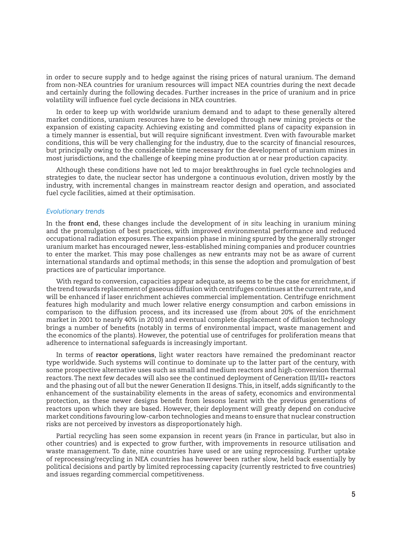in order to secure supply and to hedge against the rising prices of natural uranium. The demand from non-NEA countries for uranium resources will impact NEA countries during the next decade and certainly during the following decades. Further increases in the price of uranium and in price volatility will influence fuel cycle decisions in NEA countries.

In order to keep up with worldwide uranium demand and to adapt to these generally altered market conditions, uranium resources have to be developed through new mining projects or the expansion of existing capacity. Achieving existing and committed plans of capacity expansion in a timely manner is essential, but will require significant investment. Even with favourable market conditions, this will be very challenging for the industry, due to the scarcity of financial resources, but principally owing to the considerable time necessary for the development of uranium mines in most jurisdictions, and the challenge of keeping mine production at or near production capacity.

Although these conditions have not led to major breakthroughs in fuel cycle technologies and strategies to date, the nuclear sector has undergone a continuous evolution, driven mostly by the industry, with incremental changes in mainstream reactor design and operation, and associated fuel cycle facilities, aimed at their optimisation.

#### *Evolutionary trends*

In the **front end**, these changes include the development of *in situ* leaching in uranium mining and the promulgation of best practices, with improved environmental performance and reduced occupational radiation exposures. The expansion phase in mining spurred by the generally stronger uranium market has encouraged newer, less-established mining companies and producer countries to enter the market. This may pose challenges as new entrants may not be as aware of current international standards and optimal methods; in this sense the adoption and promulgation of best practices are of particular importance.

With regard to conversion, capacities appear adequate, as seems to be the case for enrichment, if the trend towards replacement of gaseous diffusion with centrifuges continues at the current rate, and will be enhanced if laser enrichment achieves commercial implementation. Centrifuge enrichment features high modularity and much lower relative energy consumption and carbon emissions in comparison to the diffusion process, and its increased use (from about 20% of the enrichment market in 2001 to nearly 40% in 2010) and eventual complete displacement of diffusion technology brings a number of benefits (notably in terms of environmental impact, waste management and the economics of the plants). However, the potential use of centrifuges for proliferation means that adherence to international safeguards is increasingly important.

In terms of **reactor operations**, light water reactors have remained the predominant reactor type worldwide. Such systems will continue to dominate up to the latter part of the century, with some prospective alternative uses such as small and medium reactors and high-conversion thermal reactors. The next few decades will also see the continued deployment of Generation III/III+ reactors and the phasing out of all but the newer Generation II designs. This, in itself, adds significantly to the enhancement of the sustainability elements in the areas of safety, economics and environmental protection, as these newer designs benefit from lessons learnt with the previous generations of reactors upon which they are based. However, their deployment will greatly depend on conducive market conditions favouring low-carbon technologies and means to ensure that nuclear construction risks are not perceived by investors as disproportionately high.

Partial recycling has seen some expansion in recent years (in France in particular, but also in other countries) and is expected to grow further, with improvements in resource utilisation and waste management. To date, nine countries have used or are using reprocessing. Further uptake of reprocessing/recycling in NEA countries has however been rather slow, held back essentially by political decisions and partly by limited reprocessing capacity (currently restricted to five countries) and issues regarding commercial competitiveness.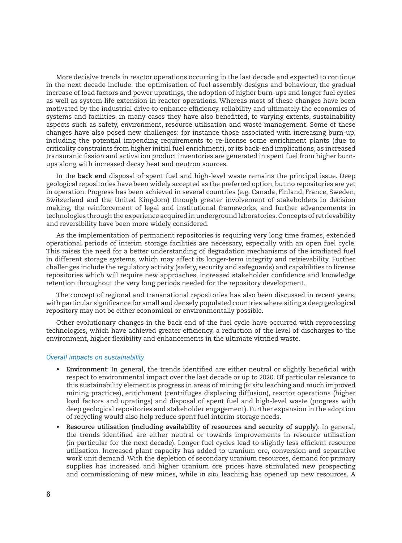More decisive trends in reactor operations occurring in the last decade and expected to continue in the next decade include: the optimisation of fuel assembly designs and behaviour, the gradual increase of load factors and power upratings, the adoption of higher burn-ups and longer fuel cycles as well as system life extension in reactor operations. Whereas most of these changes have been motivated by the industrial drive to enhance efficiency, reliability and ultimately the economics of systems and facilities, in many cases they have also benefitted, to varying extents, sustainability aspects such as safety, environment, resource utilisation and waste management. Some of these changes have also posed new challenges: for instance those associated with increasing burn-up, including the potential impending requirements to re-license some enrichment plants (due to criticality constraints from higher initial fuel enrichment), or its back-end implications, as increased transuranic fission and activation product inventories are generated in spent fuel from higher burnups along with increased decay heat and neutron sources.

In the **back end** disposal of spent fuel and high-level waste remains the principal issue. Deep geological repositories have been widely accepted as the preferred option, but no repositories are yet in operation. Progress has been achieved in several countries (e.g. Canada, Finland, France, Sweden, Switzerland and the United Kingdom) through greater involvement of stakeholders in decision making, the reinforcement of legal and institutional frameworks, and further advancements in technologies through the experience acquired in underground laboratories. Concepts of retrievability and reversibility have been more widely considered.

As the implementation of permanent repositories is requiring very long time frames, extended operational periods of interim storage facilities are necessary, especially with an open fuel cycle. This raises the need for a better understanding of degradation mechanisms of the irradiated fuel in different storage systems, which may affect its longer-term integrity and retrievability. Further challenges include the regulatory activity (safety, security and safeguards) and capabilities to license repositories which will require new approaches, increased stakeholder confidence and knowledge retention throughout the very long periods needed for the repository development.

The concept of regional and transnational repositories has also been discussed in recent years, with particular significance for small and densely populated countries where siting a deep geological repository may not be either economical or environmentally possible.

Other evolutionary changes in the back end of the fuel cycle have occurred with reprocessing technologies, which have achieved greater efficiency, a reduction of the level of discharges to the environment, higher flexibility and enhancements in the ultimate vitrified waste.

#### *Overall impacts on sustainability*

- **• Environment**: In general, the trends identified are either neutral or slightly beneficial with respect to environmental impact over the last decade or up to 2020. Of particular relevance to this sustainability element is progress in areas of mining (*in situ* leaching and much improved mining practices), enrichment (centrifuges displacing diffusion), reactor operations (higher load factors and upratings) and disposal of spent fuel and high-level waste (progress with deep geological repositories and stakeholder engagement). Further expansion in the adoption of recycling would also help reduce spent fuel interim storage needs.
- **• Resource utilisation (including availability of resources and security of supply)**: In general, the trends identified are either neutral or towards improvements in resource utilisation (in particular for the next decade). Longer fuel cycles lead to slightly less efficient resource utilisation. Increased plant capacity has added to uranium ore, conversion and separative work unit demand. With the depletion of secondary uranium resources, demand for primary supplies has increased and higher uranium ore prices have stimulated new prospecting and commissioning of new mines, while *in situ* leaching has opened up new resources. A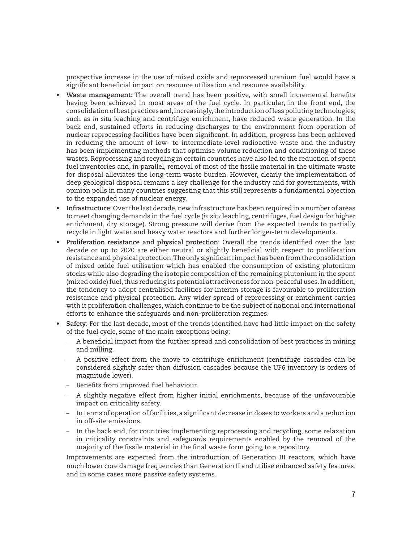prospective increase in the use of mixed oxide and reprocessed uranium fuel would have a significant beneficial impact on resource utilisation and resource availability.

- **Waste management**: The overall trend has been positive, with small incremental benefits having been achieved in most areas of the fuel cycle. In particular, in the front end, the consolidation of best practices and, increasingly, the introduction of less polluting technologies, such as *in situ* leaching and centrifuge enrichment, have reduced waste generation. In the back end, sustained efforts in reducing discharges to the environment from operation of nuclear reprocessing facilities have been significant. In addition, progress has been achieved in reducing the amount of low- to intermediate-level radioactive waste and the industry has been implementing methods that optimise volume reduction and conditioning of these wastes. Reprocessing and recycling in certain countries have also led to the reduction of spent fuel inventories and, in parallel, removal of most of the fissile material in the ultimate waste for disposal alleviates the long-term waste burden. However, clearly the implementation of deep geological disposal remains a key challenge for the industry and for governments, with opinion polls in many countries suggesting that this still represents a fundamental objection to the expanded use of nuclear energy.
- **• Infrastructure**: Over the last decade, new infrastructure has been required in a number of areas to meet changing demands in the fuel cycle (*in situ* leaching, centrifuges, fuel design for higher enrichment, dry storage). Strong pressure will derive from the expected trends to partially recycle in light water and heavy water reactors and further longer-term developments.
- **• Proliferation resistance and physical protection**: Overall the trends identified over the last decade or up to 2020 are either neutral or slightly beneficial with respect to proliferation resistance and physical protection. The only significant impact has been from the consolidation of mixed oxide fuel utilisation which has enabled the consumption of existing plutonium stocks while also degrading the isotopic composition of the remaining plutonium in the spent (mixed oxide) fuel, thus reducing its potential attractiveness for non-peaceful uses. In addition, the tendency to adopt centralised facilities for interim storage is favourable to proliferation resistance and physical protection. Any wider spread of reprocessing or enrichment carries with it proliferation challenges, which continue to be the subject of national and international efforts to enhance the safeguards and non-proliferation regimes.
- **• Safety**: For the last decade, most of the trends identified have had little impact on the safety of the fuel cycle, some of the main exceptions being:
	- A beneficial impact from the further spread and consolidation of best practices in mining and milling.
	- A positive effect from the move to centrifuge enrichment (centrifuge cascades can be considered slightly safer than diffusion cascades because the UF6 inventory is orders of magnitude lower).
	- Benefits from improved fuel behaviour.
	- A slightly negative effect from higher initial enrichments, because of the unfavourable impact on criticality safety.
	- In terms of operation of facilities, a significant decrease in doses to workers and a reduction in off-site emissions.
	- In the back end, for countries implementing reprocessing and recycling, some relaxation in criticality constraints and safeguards requirements enabled by the removal of the majority of the fissile material in the final waste form going to a repository.

Improvements are expected from the introduction of Generation III reactors, which have much lower core damage frequencies than Generation II and utilise enhanced safety features, and in some cases more passive safety systems.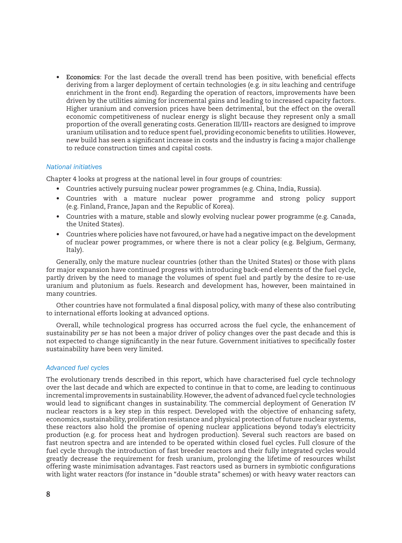**• Economics**: For the last decade the overall trend has been positive, with beneficial effects deriving from a larger deployment of certain technologies (e.g. *in situ* leaching and centrifuge enrichment in the front end). Regarding the operation of reactors, improvements have been driven by the utilities aiming for incremental gains and leading to increased capacity factors. Higher uranium and conversion prices have been detrimental, but the effect on the overall economic competitiveness of nuclear energy is slight because they represent only a small proportion of the overall generating costs. Generation III/III+ reactors are designed to improve uranium utilisation and to reduce spent fuel, providing economic benefits to utilities. However, new build has seen a significant increase in costs and the industry is facing a major challenge to reduce construction times and capital costs.

#### *National initiatives*

Chapter 4 looks at progress at the national level in four groups of countries:

- • Countries actively pursuing nuclear power programmes (e.g. China, India, Russia).
- • Countries with a mature nuclear power programme and strong policy support (e.g. Finland, France, Japan and the Republic of Korea).
- • Countries with a mature, stable and slowly evolving nuclear power programme (e.g. Canada, the United States).
- • Countries where policies have not favoured, or have had a negative impact on the development of nuclear power programmes, or where there is not a clear policy (e.g. Belgium, Germany, Italy).

Generally, only the mature nuclear countries (other than the United States) or those with plans for major expansion have continued progress with introducing back-end elements of the fuel cycle, partly driven by the need to manage the volumes of spent fuel and partly by the desire to re-use uranium and plutonium as fuels. Research and development has, however, been maintained in many countries.

Other countries have not formulated a final disposal policy, with many of these also contributing to international efforts looking at advanced options.

Overall, while technological progress has occurred across the fuel cycle, the enhancement of sustainability *per se* has not been a major driver of policy changes over the past decade and this is not expected to change significantly in the near future. Government initiatives to specifically foster sustainability have been very limited.

#### *Advanced fuel cycles*

The evolutionary trends described in this report, which have characterised fuel cycle technology over the last decade and which are expected to continue in that to come, are leading to continuous incremental improvements in sustainability. However, the advent of advanced fuel cycle technologies would lead to significant changes in sustainability. The commercial deployment of Generation IV nuclear reactors is a key step in this respect. Developed with the objective of enhancing safety, economics, sustainability, proliferation resistance and physical protection of future nuclear systems, these reactors also hold the promise of opening nuclear applications beyond today's electricity production (e.g. for process heat and hydrogen production). Several such reactors are based on fast neutron spectra and are intended to be operated within closed fuel cycles. Full closure of the fuel cycle through the introduction of fast breeder reactors and their fully integrated cycles would greatly decrease the requirement for fresh uranium, prolonging the lifetime of resources whilst offering waste minimisation advantages. Fast reactors used as burners in symbiotic configurations with light water reactors (for instance in "double strata" schemes) or with heavy water reactors can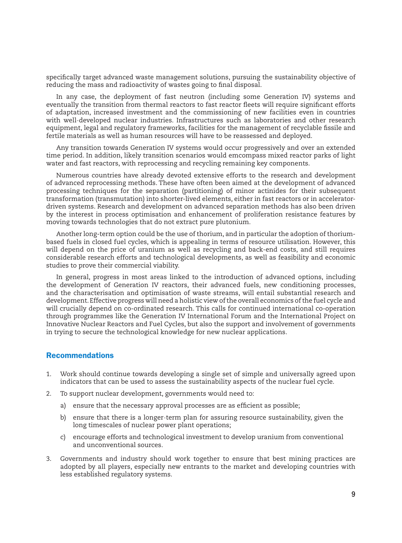specifically target advanced waste management solutions, pursuing the sustainability objective of reducing the mass and radioactivity of wastes going to final disposal.

In any case, the deployment of fast neutron (including some Generation IV) systems and eventually the transition from thermal reactors to fast reactor fleets will require significant efforts of adaptation, increased investment and the commissioning of new facilities even in countries with well-developed nuclear industries. Infrastructures such as laboratories and other research equipment, legal and regulatory frameworks, facilities for the management of recyclable fissile and fertile materials as well as human resources will have to be reassessed and deployed.

Any transition towards Generation IV systems would occur progressively and over an extended time period. In addition, likely transition scenarios would emcompass mixed reactor parks of light water and fast reactors, with reprocessing and recycling remaining key components.

Numerous countries have already devoted extensive efforts to the research and development of advanced reprocessing methods. These have often been aimed at the development of advanced processing techniques for the separation (partitioning) of minor actinides for their subsequent transformation (transmutation) into shorter-lived elements, either in fast reactors or in acceleratordriven systems. Research and development on advanced separation methods has also been driven by the interest in process optimisation and enhancement of proliferation resistance features by moving towards technologies that do not extract pure plutonium.

Another long-term option could be the use of thorium, and in particular the adoption of thoriumbased fuels in closed fuel cycles, which is appealing in terms of resource utilisation. However, this will depend on the price of uranium as well as recycling and back-end costs, and still requires considerable research efforts and technological developments, as well as feasibility and economic studies to prove their commercial viability.

In general, progress in most areas linked to the introduction of advanced options, including the development of Generation IV reactors, their advanced fuels, new conditioning processes, and the characterisation and optimisation of waste streams, will entail substantial research and development. Effective progress will need a holistic view of the overall economics of the fuel cycle and will crucially depend on co-ordinated research. This calls for continued international co-operation through programmes like the Generation IV International Forum and the International Project on Innovative Nuclear Reactors and Fuel Cycles, but also the support and involvement of governments in trying to secure the technological knowledge for new nuclear applications.

#### Recommendations

- 1. Work should continue towards developing a single set of simple and universally agreed upon indicators that can be used to assess the sustainability aspects of the nuclear fuel cycle.
- 2. To support nuclear development, governments would need to:
	- a) ensure that the necessary approval processes are as efficient as possible;
	- b) ensure that there is a longer-term plan for assuring resource sustainability, given the long timescales of nuclear power plant operations;
	- c) encourage efforts and technological investment to develop uranium from conventional and unconventional sources.
- 3. Governments and industry should work together to ensure that best mining practices are adopted by all players, especially new entrants to the market and developing countries with less established regulatory systems.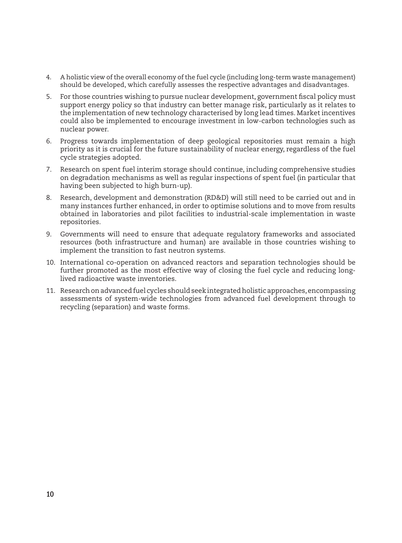- 4. A holistic view of the overall economy of the fuel cycle (including long-term waste management) should be developed, which carefully assesses the respective advantages and disadvantages.
- 5. For those countries wishing to pursue nuclear development, government fiscal policy must support energy policy so that industry can better manage risk, particularly as it relates to the implementation of new technology characterised by long lead times. Market incentives could also be implemented to encourage investment in low-carbon technologies such as nuclear power.
- 6. Progress towards implementation of deep geological repositories must remain a high priority as it is crucial for the future sustainability of nuclear energy, regardless of the fuel cycle strategies adopted.
- 7. Research on spent fuel interim storage should continue, including comprehensive studies on degradation mechanisms as well as regular inspections of spent fuel (in particular that having been subjected to high burn-up).
- 8. Research, development and demonstration (RD&D) will still need to be carried out and in many instances further enhanced, in order to optimise solutions and to move from results obtained in laboratories and pilot facilities to industrial-scale implementation in waste repositories.
- 9. Governments will need to ensure that adequate regulatory frameworks and associated resources (both infrastructure and human) are available in those countries wishing to implement the transition to fast neutron systems.
- 10. International co-operation on advanced reactors and separation technologies should be further promoted as the most effective way of closing the fuel cycle and reducing longlived radioactive waste inventories.
- 11. Research on advanced fuel cycles should seek integrated holistic approaches, encompassing assessments of system-wide technologies from advanced fuel development through to recycling (separation) and waste forms.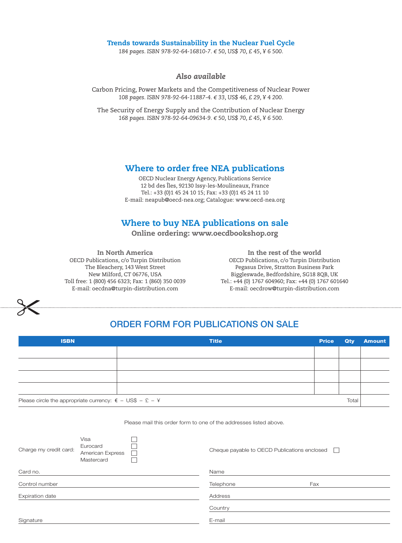#### Trends towards Sustainability in the Nuclear Fuel Cycle

*184 pages. ISBN 978-92-64-16810-7. € 50, US\$ 70, £ 45, ¥ 6 500.*

*Also available*

Carbon Pricing, Power Markets and the Competitiveness of Nuclear Power *108 pages. ISBN 978-92-64-11887-4. € 33, US\$ 46, £ 29, ¥ 4 200.*

The Security of Energy Supply and the Contribution of Nuclear Energy *168 pages. ISBN 978-92-64-09634-9. € 50, US\$ 70, £ 45, ¥ 6 500.*

#### Where to order free NEA publications

OECD Nuclear Energy Agency, Publications Service 12 bd des Îles, 92130 Issy-les-Moulineaux, France Tel.: +33 (0)1 45 24 10 15; Fax: +33 (0)1 45 24 11 10 E-mail: neapub@oecd-nea.org; Catalogue: www.oecd-nea.org

#### Where to buy NEA publications on sale

Online ordering: www.oecdbookshop.org

In North America OECD Publications, c/o Turpin Distribution The Bleachery, 143 West Street New Milford, CT 06776, USA Toll free: 1 (800) 456 6323; Fax: 1 (860) 350 0039 E-mail: oecdna@turpin-distribution.com

In the rest of the world OECD Publications, c/o Turpin Distribution Pegasus Drive, Stratton Business Park Biggleswade, Bedfordshire, SG18 8QB, UK Tel.: +44 (0) 1767 604960; Fax: +44 (0) 1767 601640 E-mail: oecdrow@turpin-distribution.com



#### ORDER FORM FOR PUBLICATIONS ON SALE

| <b>ISBN</b>                                                       | <b>Title</b> | <b>Price</b> |       | <b>Qty Amount</b> |
|-------------------------------------------------------------------|--------------|--------------|-------|-------------------|
|                                                                   |              |              |       |                   |
|                                                                   |              |              |       |                   |
|                                                                   |              |              |       |                   |
|                                                                   |              |              |       |                   |
| Please circle the appropriate currency: $\epsilon$ - US\$ - £ - ¥ |              |              | Total |                   |

Please mail this order form to one of the addresses listed above.

| Charge my credit card: | Visa<br>Eurocard<br>American Express<br>Mastercard |           | Cheque payable to OECD Publications enclosed | $\mathbf{1}$ |
|------------------------|----------------------------------------------------|-----------|----------------------------------------------|--------------|
| Card no.               |                                                    |           | Name                                         |              |
| Control number         |                                                    | Telephone | Fax                                          |              |
| <b>Expiration date</b> |                                                    | Address   |                                              |              |
|                        |                                                    |           | Country                                      |              |
| Signature              |                                                    |           | E-mail                                       |              |